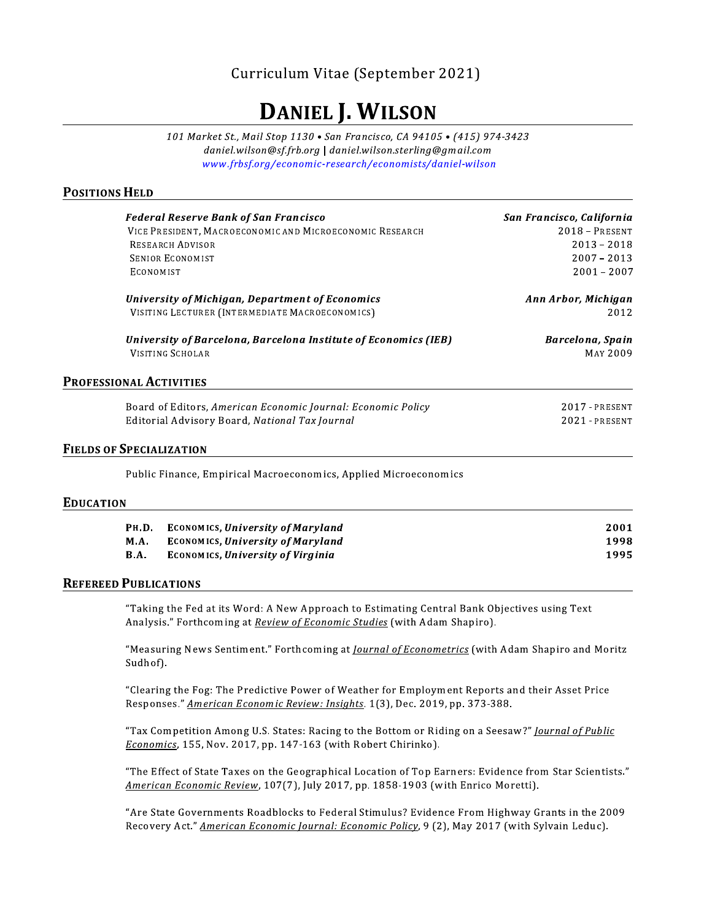# Curriculum Vitae (September 2021)

# **DANIEL J. WILSON**

101 Market St., Mail Stop 1130 . San Francisco, CA 94105 . (415) 974-3423 daniel.wilson@sf.frb.org | daniel.wilson.sterling@gmail.com www.frbsf.org/economic-research/economists/daniel-wilson

# **POSITIONS HELD**

| <b>Federal Reserve Bank of San Francisco</b>                     | San Francisco, California |
|------------------------------------------------------------------|---------------------------|
| VICE PRESIDENT, MACROECONOMIC AND MICROECONOMIC RESEARCH         | $2018 - PRESENT$          |
| <b>RESEARCH ADVISOR</b>                                          | $2013 - 2018$             |
| <b>SENIOR ECONOMIST</b>                                          | $2007 - 2013$             |
| <b>ECONOMIST</b>                                                 | $2001 - 2007$             |
| University of Michigan, Department of Economics                  | Ann Arbor, Michigan       |
| VISITING LECTURER (INTERMEDIATE MACROECONOMICS)                  | 2012                      |
| University of Barcelona, Barcelona Institute of Economics (IEB)  | Barcelona, Spain          |
| <b>VISITING SCHOLAR</b>                                          | MAY 2009                  |
| <b>PROFESSIONAL ACTIVITIES</b>                                   |                           |
| Board of Editors, American Economic Journal: Economic Policy     | $2017$ - PRESENT          |
| Editorial Advisory Board, National Tax Journal                   | $2021$ - PRESENT          |
| <b>FIELDS OF SPECIALIZATION</b>                                  |                           |
| Public Finance, Empirical Macroeconomics, Applied Microeconomics |                           |

#### **EDUCATION**

| <b>Рн.D.</b> | <b>ECONOMICS, University of Maryland</b> | 2001 |
|--------------|------------------------------------------|------|
| <b>M.A.</b>  | <b>ECONOMICS, University of Maryland</b> | 1998 |
| <b>B.A.</b>  | <b>ECONOMICS, University of Virginia</b> | 1995 |

### **REFEREED PUBLICATIONS**

"Taking the Fed at its Word: A New Approach to Estimating Central Bank Objectives using Text Analysis." Forthcoming at Review of Economic Studies (with Adam Shapiro).

"Measuring News Sentiment." Forthcoming at *Journal of Econometrics* (with Adam Shapiro and Moritz Sudhof).

"Clearing the Fog: The Predictive Power of Weather for Employment Reports and their Asset Price Responses." American Economic Review: Insights. 1(3), Dec. 2019, pp. 373-388.

"Tax Competition Among U.S. States: Racing to the Bottom or Riding on a Seesaw?" Journal of Public Economics, 155, Nov. 2017, pp. 147-163 (with Robert Chirinko).

"The Effect of State Taxes on the Geographical Location of Top Earners: Evidence from Star Scientists." American Economic Review, 107(7), July 2017, pp. 1858-1903 (with Enrico Moretti).

"Are State Governments Roadblocks to Federal Stimulus? Evidence From Highway Grants in the 2009 Recovery Act." American Economic Journal: Economic Policy, 9 (2), May 2017 (with Sylvain Leduc).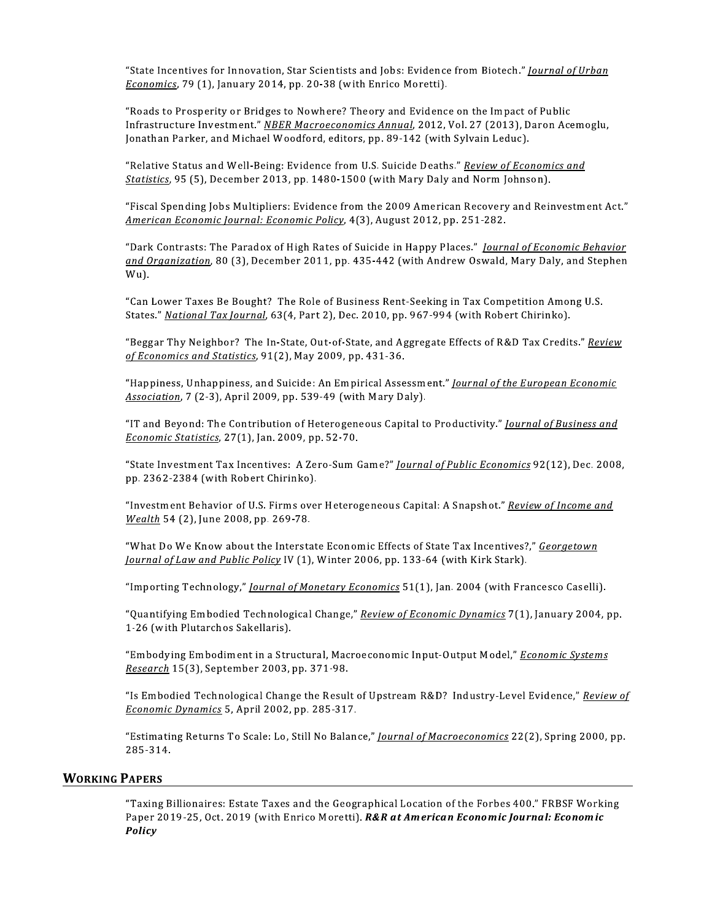"State Incentives for Innovation, Star Scientists and Jobs: Evidence from Biotech." Journal of Urban Economics, 79 (1), January 2014, pp. 20-38 (with Enrico Moretti).

"Roads to Prosperity or Bridges to Nowhere? Theory and Evidence on the Impact of Public Infrastructure Investment." NBER Macroeconomics Annual, 2012, Vol. 27 (2013), Daron Acemoglu, Jonathan Parker, and Michael Woodford, editors, pp. 89-142 (with Sylvain Leduc).

"Relative Status and Well-Being: Evidence from U.S. Suicide Deaths." Review of Economics and Statistics, 95 (5), December 2013, pp. 1480-1500 (with Mary Daly and Norm Johnson).

"Fiscal Spending Jobs Multipliers: Evidence from the 2009 American Recovery and Reinvestment Act." American Economic Journal: Economic Policy, 4(3), August 2012, pp. 251-282.

"Dark Contrasts: The Paradox of High Rates of Suicide in Happy Places." Journal of Economic Behavior and Organization, 80 (3), December 2011, pp. 435-442 (with Andrew Oswald, Mary Daly, and Stephen Wu).

"Can Lower Taxes Be Bought? The Role of Business Rent-Seeking in Tax Competition Among U.S. States." National Tax Journal, 63(4, Part 2), Dec. 2010, pp. 967-994 (with Robert Chirinko).

"Beggar Thy Neighbor? The In-State, Out-of-State, and Aggregate Effects of R&D Tax Credits." Review of Economics and Statistics, 91(2), May 2009, pp. 431-36.

"Happiness, Unhappiness, and Suicide: An Empirical Assessment." Journal of the European Economic Association, 7 (2-3), April 2009, pp. 539-49 (with Mary Daly).

"IT and Beyond: The Contribution of Heterogeneous Capital to Productivity." Journal of Business and Economic Statistics, 27(1), Jan. 2009, pp. 52-70.

"State Investment Tax Incentives: A Zero-Sum Game?" *Journal of Public Economics* 92(12), Dec. 2008, pp. 2362-2384 (with Robert Chirinko).

"Investment Behavior of U.S. Firms over Heterogeneous Capital: A Snapshot." Review of Income and Wealth 54 (2), June 2008, pp. 269-78.

"What Do We Know about the Interstate Economic Effects of State Tax Incentives?," Georgetown *Journal of Law and Public Policy IV* (1), Winter 2006, pp. 133-64 (with Kirk Stark).

"Importing Technology," Journal of Monetary Economics 51(1), Jan. 2004 (with Francesco Caselli).

"Quantifying Embodied Technological Change," Review of Economic Dynamics 7(1), January 2004, pp. 1-26 (with Plutarchos Sakellaris).

"Embodying Embodiment in a Structural, Macroeconomic Input-Output Model," Economic Systems Research 15(3), September 2003, pp. 371-98.

"Is Embodied Technological Change the Result of Upstream R&D? Industry-Level Evidence," Review of Economic Dynamics 5, April 2002, pp. 285-317.

"Estimating Returns To Scale: Lo, Still No Balance," Journal of Macroeconomics 22(2), Spring 2000, pp. 285-314.

#### **WORKING PAPERS**

"Taxing Billionaires: Estate Taxes and the Geographical Location of the Forbes 400." FRBSF Working Paper 2019-25, Oct. 2019 (with Enrico Moretti). R&R at American Economic Journal: Economic Policy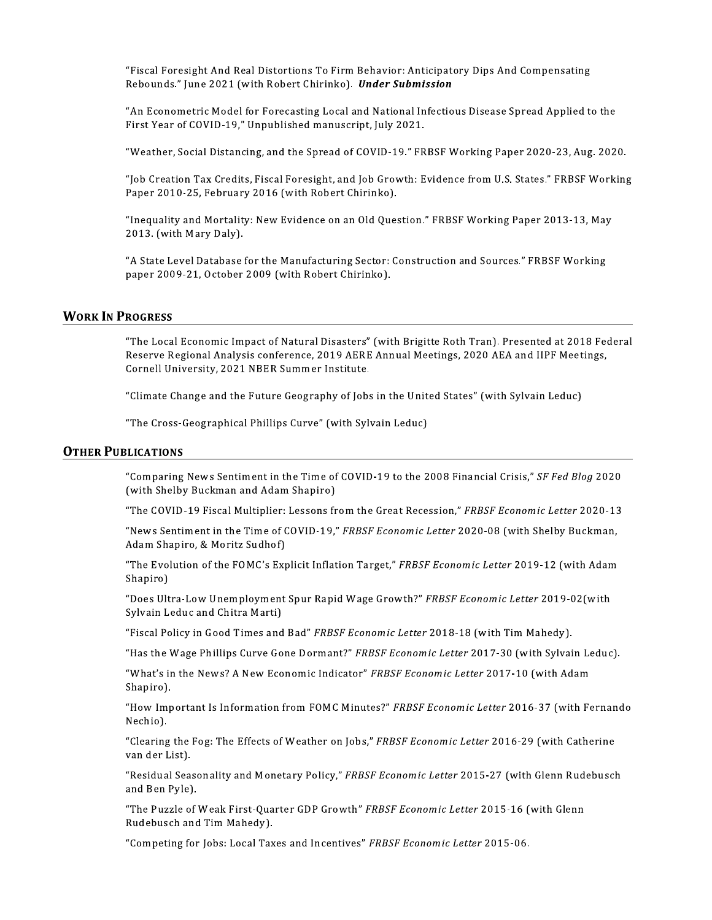"Fiscal Foresight And Real Distortions To Firm Behavior: Anticipatory Dips And Compensating Rebounds." June 2021 (with Robert Chirinko). Under Submission

"An Econometric Model for Forecasting Local and National Infectious Disease Spread Applied to the First Year of COVID-19," Unpublished manuscript, July 2021.

"Weather, Social Distancing, and the Spread of COVID-19." FRBSF Working Paper 2020-23, Aug. 2020.

"Job Creation Tax Credits, Fiscal Foresight, and Job Growth: Evidence from U.S. States." FRBSF Working Paper 2010-25, February 2016 (with Robert Chirinko).

"Inequality and Mortality: New Evidence on an Old Question." FRBSF Working Paper 2013-13, May 2013. (with Mary Daly).

"A State Level Database for the Manufacturing Sector: Construction and Sources." FRBSF Working paper 2009-21, October 2009 (with Robert Chirinko).

# **WORK IN PROGRESS**

"The Local Economic Impact of Natural Disasters" (with Brigitte Roth Tran). Presented at 2018 Federal Reserve Regional Analysis conference, 2019 AERE Annual Meetings, 2020 AEA and IIPF Meetings, Cornell University, 2021 NBER Summer Institute.

"Climate Change and the Future Geography of Jobs in the United States" (with Sylvain Leduc)

"The Cross-Geographical Phillips Curve" (with Sylvain Leduc)

#### **OTHER PUBLICATIONS**

"Comparing News Sentiment in the Time of COVID-19 to the 2008 Financial Crisis," SF Fed Blog 2020 (with Shelby Buckman and Adam Shapiro)

"The COVID-19 Fiscal Multiplier: Lessons from the Great Recession," FRBSF Economic Letter 2020-13

"News Sentiment in the Time of COVID-19," FRBSF Economic Letter 2020-08 (with Shelby Buckman, Adam Shapiro, & Moritz Sudhof)

"The Evolution of the FOMC's Explicit Inflation Target," FRBSF Economic Letter 2019-12 (with Adam Shapiro)

"Does Ultra-Low Unemployment Spur Rapid Wage Growth?" FRBSF Economic Letter 2019-02(with Sylvain Leduc and Chitra Marti)

"Fiscal Policy in Good Times and Bad" FRBSF Economic Letter 2018-18 (with Tim Mahedy).

"Has the Wage Phillips Curve Gone Dormant?" FRBSF Economic Letter 2017-30 (with Sylvain Leduc).

"What's in the News? A New Economic Indicator" FRBSF Economic Letter 2017-10 (with Adam Shapiro).

"How Important Is Information from FOMC Minutes?" FRBSF Economic Letter 2016-37 (with Fernando Nechio).

"Clearing the Fog: The Effects of Weather on Jobs," FRBSF Economic Letter 2016-29 (with Catherine van der List).

"Residual Seasonality and Monetary Policy," FRBSF Economic Letter 2015-27 (with Glenn Rudebusch and Ben Pyle).

"The Puzzle of Weak First-Quarter GDP Growth" FRBSF Economic Letter 2015-16 (with Glenn Rudebusch and Tim Mahedy).

"Competing for Jobs: Local Taxes and Incentives" FRBSF Economic Letter 2015-06.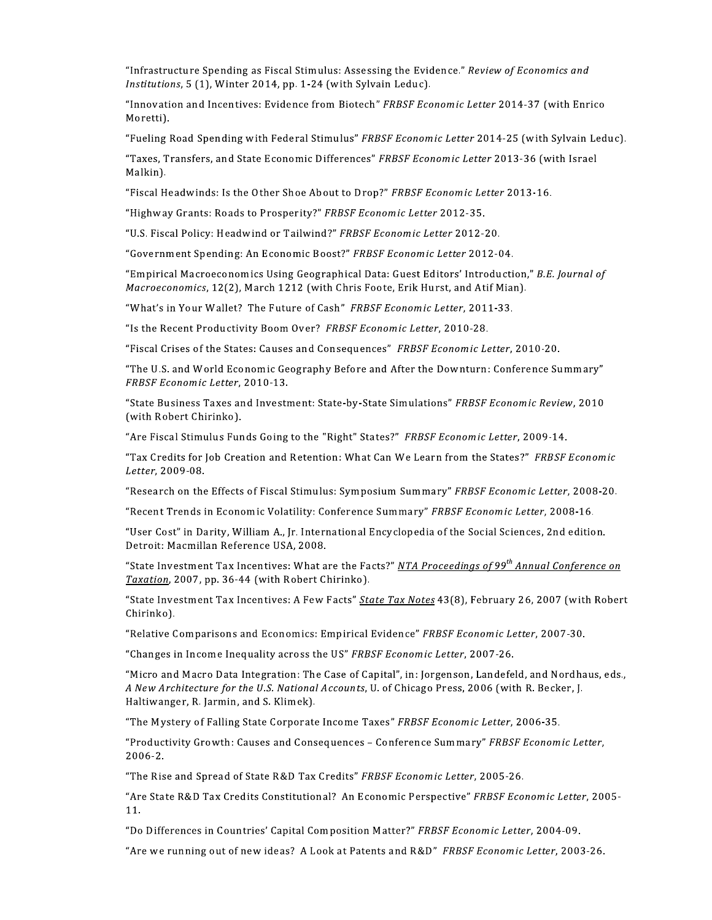"Infrastructure Spending as Fiscal Stimulus: Assessing the Evidence." Review of Economics and Institutions, 5 (1), Winter 2014, pp. 1-24 (with Sylvain Leduc).

"Innovation and Incentives: Evidence from Biotech" FRBSF Economic Letter 2014-37 (with Enrico Moretti).

"Fueling Road Spending with Federal Stimulus" FRBSF Economic Letter 2014-25 (with Sylvain Leduc).

"Taxes, Transfers, and State Economic Differences" FRBSF Economic Letter 2013-36 (with Israel Malkin).

"Fiscal Headwinds: Is the Other Shoe About to Drop?" FRBSF Economic Letter 2013-16.

"Highway Grants: Roads to Prosperity?" FRBSF Economic Letter 2012-35.

"U.S. Fiscal Policy: Headwind or Tailwind?" FRBSF Economic Letter 2012-20.

"Government Spending: An Economic Boost?" FRBSF Economic Letter 2012-04.

"Empirical Macroeconomics Using Geographical Data: Guest Editors' Introduction," B.E. Journal of Macroeconomics, 12(2), March 1212 (with Chris Foote, Erik Hurst, and Atif Mian).

"What's in Your Wallet? The Future of Cash" FRBSF Economic Letter, 2011-33.

"Is the Recent Productivity Boom Over? FRBSF Economic Letter, 2010-28.

"Fiscal Crises of the States: Causes and Consequences" FRBSF Economic Letter, 2010-20.

"The U.S. and World Economic Geography Before and After the Downturn: Conference Summary" FRBSF Economic Letter, 2010-13.

"State Business Taxes and Investment: State-by-State Simulations" FRBSF Economic Review, 2010 (with Robert Chirinko).

"Are Fiscal Stimulus Funds Going to the "Right" States?" FRBSF Economic Letter, 2009-14.

"Tax Credits for Job Creation and Retention: What Can We Learn from the States?" FRBSF Economic Letter, 2009-08.

"Research on the Effects of Fiscal Stimulus: Symposium Summary" FRBSF Economic Letter, 2008-20.

"Recent Trends in Economic Volatility: Conference Summary" FRBSF Economic Letter, 2008-16.

"User Cost" in Darity, William A., Jr. International Encyclopedia of the Social Sciences, 2nd edition. Detroit: Macmillan Reference USA, 2008.

"State Investment Tax Incentives: What are the Facts?" <u>NTA Proceedings of 99<sup>th</sup> Annual Conference on</u> Taxation, 2007, pp. 36-44 (with Robert Chirinko).

"State Investment Tax Incentives: A Few Facts" State Tax Notes 43(8), February 26, 2007 (with Robert Chirinko).

"Relative Comparisons and Economics: Empirical Evidence" FRBSF Economic Letter, 2007-30.

"Changes in Income Inequality across the US" FRBSF Economic Letter, 2007-26.

"Micro and Macro Data Integration: The Case of Capital", in: Jorgenson, Landefeld, and Nordhaus, eds., A New Architecture for the U.S. National Accounts, U. of Chicago Press, 2006 (with R. Becker, J. Haltiwanger, R. Jarmin, and S. Klimek).

"The Mystery of Falling State Corporate Income Taxes" FRBSF Economic Letter, 2006-35.

"Productivity Growth: Causes and Consequences - Conference Summary" FRBSF Economic Letter, 2006-2

"The Rise and Spread of State R&D Tax Credits" FRBSF Economic Letter, 2005-26.

"Are State R&D Tax Credits Constitutional? An Economic Perspective" FRBSF Economic Letter, 2005-11.

"Do Differences in Countries' Capital Composition Matter?" FRBSF Economic Letter, 2004-09.

"Are we running out of new ideas? A Look at Patents and R&D" FRBSF Economic Letter, 2003-26.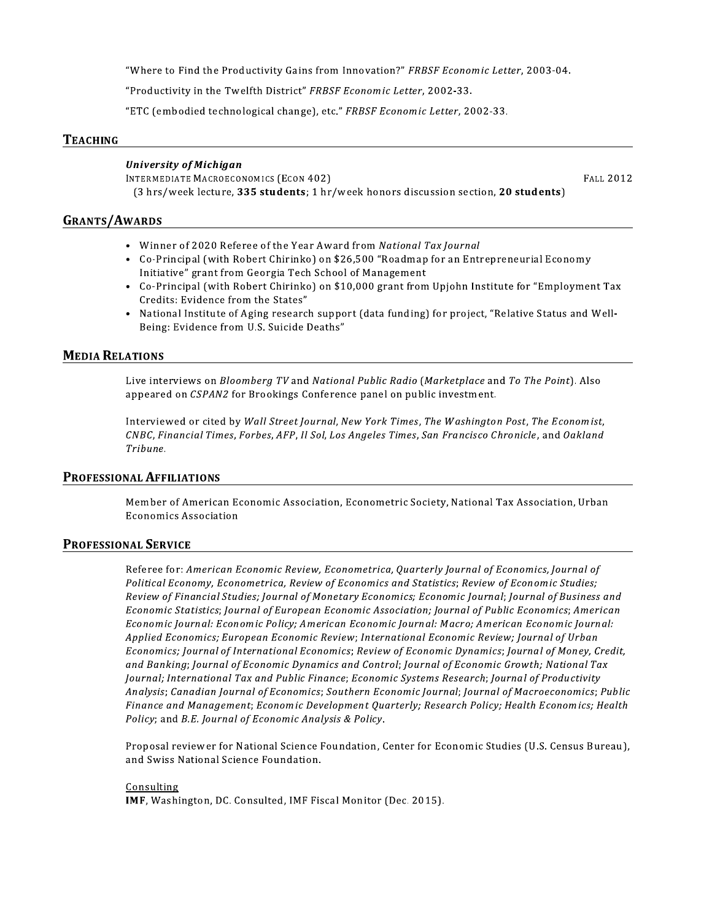"Where to Find the Productivity Gains from Innovation?" FRBSF Economic Letter, 2003-04.

"Productivity in the Twelfth District" FRBSF Economic Letter, 2002-33.

"ETC (embodied technological change), etc." FRBSF Economic Letter, 2002-33.

## **TEACHING**

## **University of Michigan**

INTERMEDIATE MACROECONOMICS (ECON 402) (3 hrs/week lecture, 335 students; 1 hr/week honors discussion section, 20 students) **FALL 2012** 

# **GRANTS/AWARDS**

- Winner of 2020 Referee of the Year Award from National Tax Journal
- Co-Principal (with Robert Chirinko) on \$26,500 "Roadmap for an Entrepreneurial Economy Initiative" grant from Georgia Tech School of Management
- Co-Principal (with Robert Chirinko) on \$10,000 grant from Upjohn Institute for "Employment Tax Credits: Evidence from the States"
- National Institute of Aging research support (data funding) for project, "Relative Status and Well- $\bullet$ Being: Evidence from U.S. Suicide Deaths"

# **MEDIA RELATIONS**

Live interviews on Bloomberg TV and National Public Radio (Marketplace and To The Point). Also appeared on CSPAN2 for Brookings Conference panel on public investment.

Interviewed or cited by Wall Street Journal, New York Times, The Washington Post, The Economist, CNBC, Financial Times, Forbes, AFP, Il Sol, Los Angeles Times, San Francisco Chronicle, and Oakland Tribune.

#### PROFESSIONAL AFFILIATIONS

Member of American Economic Association, Econometric Society, National Tax Association, Urban **Economics Association** 

# **PROFESSIONAL SERVICE**

Referee for: American Economic Review, Econometrica, Quarterly Journal of Economics, Journal of Political Economy, Econometrica, Review of Economics and Statistics; Review of Economic Studies; Review of Financial Studies; Journal of Monetary Economics; Economic Journal; Journal of Business and Economic Statistics; Journal of European Economic Association; Journal of Public Economics; American Economic Journal: Economic Policy; American Economic Journal: Macro; American Economic Journal: Applied Economics; European Economic Review; International Economic Review; Journal of Urban Economics; Journal of International Economics; Review of Economic Dynamics; Journal of Money, Credit, and Banking; Journal of Economic Dynamics and Control; Journal of Economic Growth; National Tax Journal; International Tax and Public Finance; Economic Systems Research; Journal of Productivity Analysis; Canadian Journal of Economics; Southern Economic Journal; Journal of Macroeconomics; Public Finance and Management; Economic Development Quarterly; Research Policy; Health Economics; Health Policy; and B.E. Journal of Economic Analysis & Policy.

Proposal reviewer for National Science Foundation, Center for Economic Studies (U.S. Census Bureau), and Swiss National Science Foundation.

#### Consulting

IMF, Washington, DC. Consulted, IMF Fiscal Monitor (Dec. 2015).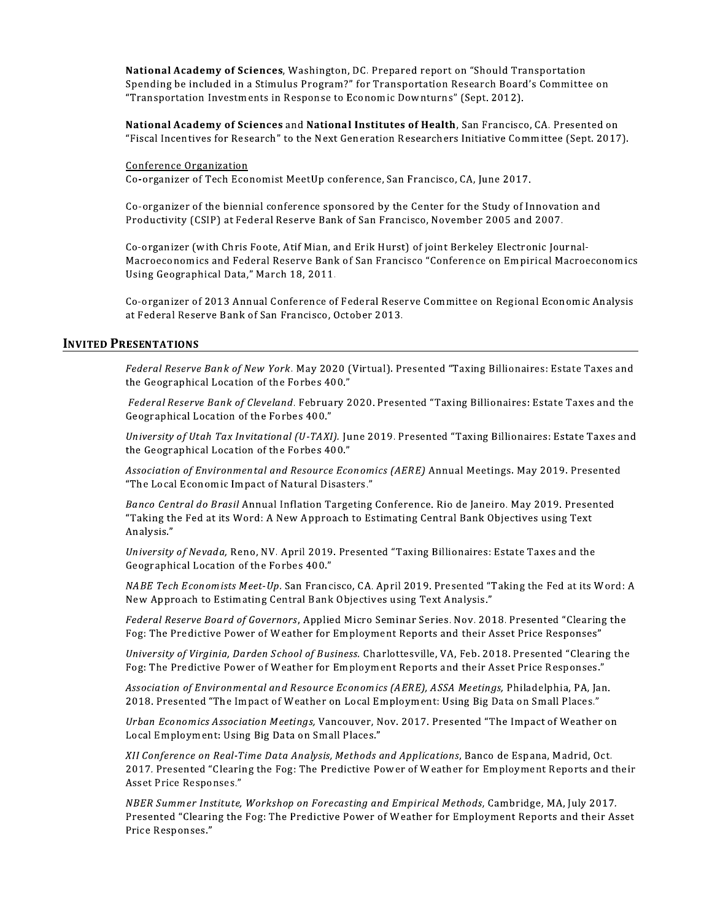National Academy of Sciences, Washington, DC. Prepared report on "Should Transportation Spending be included in a Stimulus Program?" for Transportation Research Board's Committee on "Transportation Investments in Response to Economic Downturns" (Sept. 2012).

National Academy of Sciences and National Institutes of Health, San Francisco, CA. Presented on "Fiscal Incentives for Research" to the Next Generation Researchers Initiative Committee (Sept. 2017).

Conference Organization

Co-organizer of Tech Economist MeetUp conference, San Francisco, CA, June 2017.

Co-organizer of the biennial conference sponsored by the Center for the Study of Innovation and Productivity (CSIP) at Federal Reserve Bank of San Francisco, November 2005 and 2007.

Co-organizer (with Chris Foote, Atif Mian, and Erik Hurst) of joint Berkeley Electronic Journal-Macroeconomics and Federal Reserve Bank of San Francisco "Conference on Empirical Macroeconomics Using Geographical Data," March 18, 2011.

Co-organizer of 2013 Annual Conference of Federal Reserve Committee on Regional Economic Analysis at Federal Reserve Bank of San Francisco, October 2013.

#### **INVITED PRESENTATIONS**

Federal Reserve Bank of New York. May 2020 (Virtual). Presented "Taxing Billionaires: Estate Taxes and the Geographical Location of the Forbes 400."

Federal Reserve Bank of Cleveland. February 2020. Presented "Taxing Billionaires: Estate Taxes and the Geographical Location of the Forbes 400."

University of Utah Tax Invitational (U-TAXI). June 2019. Presented "Taxing Billionaires: Estate Taxes and the Geographical Location of the Forbes 400."

Association of Environmental and Resource Economics (AERE) Annual Meetings. May 2019. Presented "The Local Economic Impact of Natural Disasters."

Banco Central do Brasil Annual Inflation Targeting Conference. Rio de Janeiro. May 2019. Presented "Taking the Fed at its Word: A New Approach to Estimating Central Bank Objectives using Text Analysis."

University of Nevada, Reno, NV. April 2019. Presented "Taxing Billionaires: Estate Taxes and the Geographical Location of the Forbes 400."

NABE Tech Economists Meet-Up. San Francisco, CA. April 2019. Presented "Taking the Fed at its Word: A New Approach to Estimating Central Bank Objectives using Text Analysis."

Federal Reserve Board of Governors, Applied Micro Seminar Series. Nov. 2018. Presented "Clearing the Fog: The Predictive Power of Weather for Employment Reports and their Asset Price Responses"

University of Virginia, Darden School of Business. Charlottesville, VA, Feb. 2018. Presented "Clearing the Fog: The Predictive Power of Weather for Employment Reports and their Asset Price Responses."

Association of Environmental and Resource Economics (AERE), ASSA Meetings, Philadelphia, PA, Jan. 2018. Presented "The Impact of Weather on Local Employment: Using Big Data on Small Places."

Urban Economics Association Meetings, Vancouver, Nov. 2017. Presented "The Impact of Weather on Local Employment: Using Big Data on Small Places."

XII Conference on Real-Time Data Analysis, Methods and Applications, Banco de Espana, Madrid, Oct. 2017. Presented "Clearing the Fog: The Predictive Power of Weather for Employment Reports and their Asset Price Responses."

NBER Summer Institute, Workshop on Forecasting and Empirical Methods, Cambridge, MA, July 2017. Presented "Clearing the Fog: The Predictive Power of Weather for Employment Reports and their Asset Price Responses."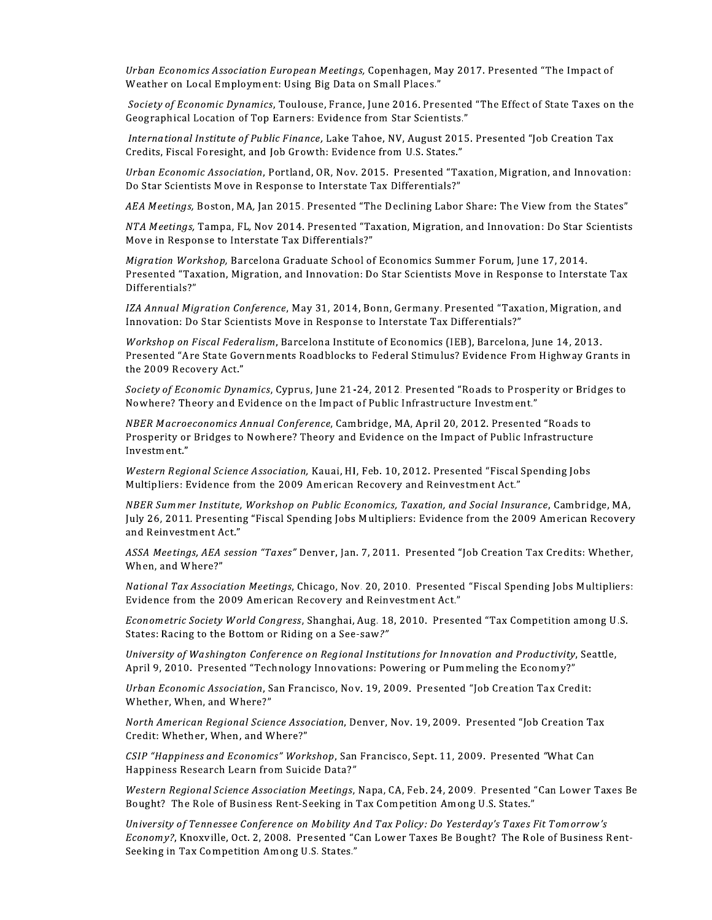Urban Economics Association Euro

o*pean Meetings,* Copenhagen, May 2017. Presented "The Impact of<br>Jsing Big Data on Small Places."<br>oulouse, France, June 2016. Presented "The Effect of State Taxes on t<br>rners: Evidence from Star Scientists."<br>*Cinance*, Lake Urban Economics Association European Meetings, Copenhagen, May 2017. Presented<br>Weather on Local Employment: Using Big Data on Small Places."<br>Society of Economic Dynamics, Toulouse, France, June 2016. Presented "The Effect Society of Economic Dynami Association European Meetings, Copenhagen, May 2017. Presented "The Impact of<br>
I Employment: Using Big Data on Small Places."<br>
mic Dynamics, Toulouse, France, June 2016. Presented "The Effect of State Taxes on the<br>
ation o Urban Economics Association European Meetings, Copenhagen, May 2017. Presented "The<br>Weather on Local Employment: Using Big Data on Small Places."<br>Society of Economic Dynamics, Toulouse, France, June 2016. Presented "The Ef n *Economics Association European Meetings,* Copenhagen, May 2017. Presented "The Impact of<br>her on Local Employment: Using Big Data on Small Places."<br>*ty of Economic Dynamics*, Toulouse, France, June 2016. Presented "The E Urban Economics Association European Meetings, Copenhagen, May 2017. Presented "The Weather on Local Employment: Using Big Data on Small Places."<br>
Society of Economic Dynamics, Toulouse, France, June 2016. Presented "The E res Association Laropean meetings, copeningen, may 2017. Tresented The Impact of<br>cal Employment: Using Big Data on Small Places."<br>
nomic Dynamics, Toulouse, France, June 2016. Presented "The Effect of State Taxes on the<br>
o

International Institute of Public Finance, Lake Tahoe, NV, August 2015. Presented "Job Creation Tax<br>Credits, Fiscal Foresight, and Job Growth: Evidence from U.S. States."

Urban Economi

weather on Local Employment. Osing Big Data on Sman Fraces.<br>
Society of Economic Dynamics, Toulouse, France, June 2016. Presented "The Effect of S<br>
Geographical Location of Top Earners: Evidence from Star Scientists."<br>
Int Society of accountry bythantics, Foundase, France, Integration of Top Earners: Evidence from Star Scientists."<br>
International Institute of Public Finance, Lake Tahoe, NV, August 2015. Presented "Job Creation Tax<br>
Credits, *International Institute of Public Finance*, Lake Tahoe, NV, August 2015. Presented "Job Creation Tax<br>Credits, Fiscal Foresight, and Job Growth: Evidence from U.S. States."<br>
Urban Economic Association, Portland, OR, Nov. 2 merhational institute of Fubilit Finance, Lake Tanoe, NV, August 201<br>Credits, Fiscal Foresight, and Job Growth: Evidence from U.S. States."<br>Urban Economic Association, Portland, OR, Nov. 2015. Presented "Ta<br>Do Star Scienti Mıgratıon Work ic Association, Portland, OR, Nov. 2015. Presented "Taxation, Migration, and Inno<br>sts Move in Response to Interstate Tax Differentials?"<br>Boston, MA, Jan 2015. Presented "The Declining Labor Share: The View from the :<br>Tampa

IZA Annual Migration Confere.

oran Economic Associator), For indial, Or, Nov. 2013. Tresented Taxanoni, Migracion, and Innovation.<br>
Do Star Scientists Move in Response to Interstate Tax Differentials?"<br>
AEA Meetings, Boston, MA, Jan 2015. Presented "Ta *Bo Stal Scientists Move In Respo.*<br>*AEA Meetings, Boston, MA, Jan 20*<br>*NTA Meetings, Tampa, FL, Nov 2C*<br>*Move in Response to Interstate T<br><i>Migration Workshop, Barcelona C*<br>Presented "Taxation, Migration, a<br>Differentials?" In 2015, Fresented The Dechning Labor Share. The View Hom the states<br>ov 2014, Presented "Taxation, Migration, and Innovation: Do Star Scientist<br>ate Tax Differentials?"<br>ona Graduate School of Economics Summer Forum, June 17 *NTA Meetings,* Tampa, FL, Nov 2014. Presented "Taxation, Migration, and Innovation: Do Star Scien<br>Move in Response to Interstate Tax Differentials?"<br>*Migration Workshop, Barcelona Graduate School of Economics Summer Forum* Workshop on Fiscal Federalism, reristate Tax Dinerentians:<br>arcelona Graduate School of Economics Summer Forum, June 17, 2014.<br>igration, and Innovation: Do Star Scientists Move in Response to Interstate ?<br>ionference, May 31, 2014, Bonn, Germany. Presente *Migration Workshop,* Barcelona Graduate School of Economics Summer Forum, June 17, 2014.<br>Presented "Taxation, Migration, and Innovation: Do Star Scientists Move in Response to Interstate Tax<br>Differentials?"<br>IZA Annual Mig the 2009 Recovery Act." ration Conference, May 31, 2014, Bonn, Germany. Presented "Taxation, Migration, and<br>Star Scientists Move in Response to Interstate Tax Differentials?"<br>Scal Federalism, Barcelona Institute of Economics (IEB), Barcelona, Jun *IZA Annual Migration Conference, Nay 31, 2014, Bonn, Germany. Presented "Taxation, Migration, Innovation: Do Star Scientists Move in Response to Interstate Tax Differentials?"<br>
<i>Workshop on Fiscal Federalism, Barcelona In* response to interstate Tax Differentials:<br>
lona Institute of Economics (IEB), Barcelona, June 14, 2013.<br>
adblocks to Federal Stimulus? Evidence From Highway Grants in<br>
., June 21-24, 2012. Presented "Roads to Prosperity or *Workshop on Fiscal Federalism*, Barcelona Institute of Economics (IEB), Barcelona, June 14, 2013.<br>
Presented "Are State Governments Roadblocks to Federal Stimulus? Evidence From Highway Grants in<br>
the 2009 Recovery Act."<br>

Society of Economic Dynami

NBER Macroeconomics Annual Confere

Western Regional Science Association, Kauai, HI, Feb. 10, 2012. Presented "Fiscal Spending Jobs<br>Multipliers: Evidence from the 2009 American Recovery and Reinvestment Act."

Presented "Are State Gove<br>the 2009 Recovery Act."<br>Society of Economic Dynar<br>Nowhere? Theory and Evi<br>NBER Macroeconomics An<br>Prosperity or Bridges to N<br>Investment."<br>Western Regional Science<br>Multipliers: Evidence from<br>NBER Su of Economic Dynamics, Cyprus, June 21-24, 2012. Presented "Roads to Prosperity or Bridges to<br>re? Theory and Evidence on the Impact of Public Infrastructure Investment."<br>Macroeconomics Annual Conference, Cambridge, MA, Apri Society of Economic Dynamics, Cyprus, June 21-24, 2012. Presented "Roads to Prosperity<br>
Nowhere? Theory and Evidence on the Impact of Public Infrastructure Investment."<br>
NBER Macroeconomics Annual Conference, Cambridge, MA NBER Summer Institute, Workshop on Public Economics, Taxation, and Social Insurance, Cambridge, MA, *NBER Macroeconomics Annual Conference,* Cambridge, MA, April 20, 2012. Presented "Roads to<br>
Prosperity or Bridges to Nowhere? Theory and Evidence on the Impact of Public Infrastructure<br>
Investment."<br>
Western Regional Scie Prosperity or Bridges to Nowher<br>Investment."<br>Western Regional Science Associc<br>Multipliers: Evidence from the 2<br>NBER Summer Institute, Worksho<br>July 26, 2011. Presenting "Fiscal<br>and Reinvestment Act."<br>ASSA Meetings, AEA sess mvestinent.<br>
Western Regional Science Association, Kauai, HI, Feb. 10, 2012. Presented "Fiscal Spending Jobs<br>
Multipliers: Evidence from the 2009 American Recovery and Reinvestment Act."<br>
NBER Summer Institute, Workshop on mantpliers. Evidence from the 2009 American Necovery and Nemivesument Act.<br>
MBER Summer Institute, Workshop on Public Economics, Taxation, and Social Insurance, Cambridge, MA,<br>
July 26, 2011. Presenting "Fiscal Spending Jo *NBER Summer Institute, Workshop on Public Economics, Taxation, and Social I*<br>July 26, 2011. Presenting "Fiscal Spending Jobs Multipliers: Evidence from the<br>and Reinvestment Act."<br>ASSA Meetings, AEA session "Taxes" Denver,

When, and Where?" s" Denver, Jan. 7, 2011. Presented "Job Creation Tax Credits: Whether,<br>s, Chicago, Nov. 20, 2010. Presented "Fiscal Spending Jobs Multipliers:<br>n Recovery and Reinvestment Act."<br>ess, Shanghai, Aug. 18, 2010. Presented "Tax

Econometric Society World Congre Solution meetings, cincago, Nov. 20, 2010. Tresented Priscal spending jobs mult<br>the 2009 American Recovery and Reinvestment Act."<br>*Noiety World Congress*, Shanghai, Aug. 18, 2010. Presented "Tax Competition amor<br>to the Bot

University of Washington Conference on Regional Institutions for Innovation and Productivity, Seattle, Experience on Riding and Routers, Sultanger and Productivity, Seattly<br>and the Bottom or Riding on a See-saw?"<br>O. Presented "Technology Innovations: Powering or Pummeling the Economy?"<br>O. Presented "Technology Innovations:

Urban Economi Whether, When, and Where?"

ASSA Meetings, AEA session "Taxes" Denver, Jan. 7, 2011. Presented "J<br>When, and Where?"<br>Wational Tax Association Meetings, Chicago, Nov. 20, 2010. Presented<br>Evidence from the 2009 American Recovery and Reinvestment Act."<br>E When, and Where:<br> *National Tax Association Meetings,* Chicago, Nov. 20, 2010. Presented "Fiscal Spending Jobs N<br>
Evidence from the 2009 American Recovery and Reinvestment Act."<br> *Econometric Society World Congress,* Shang North Americ Credit: Whether, When, and Where?"

<code>LSIP</code> "Happiness and Economics" Work

*Western Regional Science Association Meetings,* Napa, CA, Feb. 24, 2009. Presented "Can Lower Taxes Be<br>Bought? The Role of Business Rent-Seeking in Tax Competition Among U.S. States."

The on Regional Institutions for Innovation and Troductivity, seatded<br>Diagy Innovations: Powering or Pummeling the Economy?"<br>Francisco, Nov. 19, 2009. Presented "Job Creation Tax Credit:<br>Association, Denver, Nov. 19, 2009. *Hynn 9, 2010.* Tresented Technology Innovation<br> *Urban Economic Association*, San Francisco, Nov.<br> *Whether, When, and Where?"*<br> *North American Regional Science Association*, De<br>
Credit: Whether, When, and Where?"<br> *CSIP* Economic Association, San Francisco, Rov. 12, 2009. Tresented Job Creation Tax Creati.<br>
Fr. When, and Where?"<br>
Merrican Regional Science Association, Denver, Nov. 19, 2009. Presented "Job Creation Tax<br>
Whether, When, and W Whether, when, and where:<br>North American Regional Science Association, Denver, Nov. 19, 2009. Presented "Job Creation Tax<br>Credit: Whether, When, and Where?"<br>*KSIP "Happiness and Economics" Workshop,* San Francisco, Sept. 1 University of Tennessee Conference on Mobility And Tax Policy: Do Yesterday's Taxes Fit Tomorrow's  $\,$ Economy?, Knoxville, Oct. 2, 2008. Presented "Can Lower Taxes Be Bought? The Role of Business Rent-<br>Seeking in Tax Competition Among U.S. States." *experiment and Winchers:*<br> *experimess and Economics" Workshop,* San Francisco, Sept. 11, 2009. Presented "What Can<br>
ses Research Learn from Suicide Data?"<br> *Regional Science Association Meetings, Napa, CA, Feb. 24, 2009.* CSIP "Happiness and Economics" Workshop, San Francisco, Sept. 11<br>Happiness Research Learn from Suicide Data?"<br>Western Regional Science Association Meetings, Napa, CA, Feb. 24, 2<br>Bought? The Role of Business Rent-Seeking in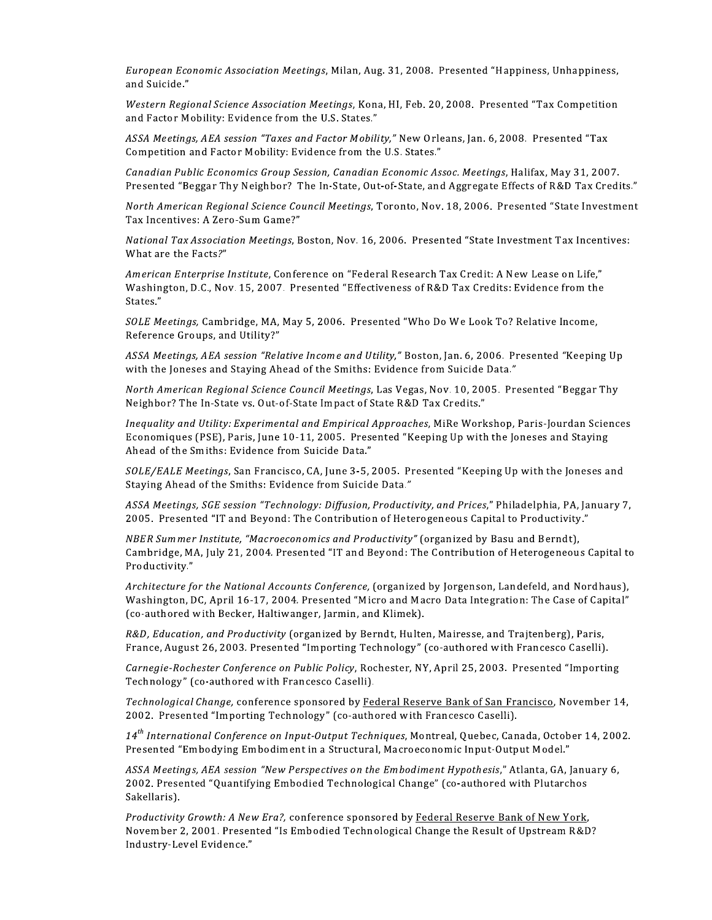European Economic Association Meetings, Milan, Aug. 31, 2008. Presented "Happiness, Unhappiness, and Suicide."

Western Regional Science Association Meetings, Kona, HI, Feb. 20, 2008. Presented "Tax Competition and Factor Mobility: Evidence from the U.S. States."

ASSA Meetings, AEA session "Taxes and Factor Mobility," New Orleans, Jan. 6, 2008. Presented "Tax Competition and Factor Mobility: Evidence from the U.S. States."

Canadian Public Economics Group Session, Canadian Economic Assoc. Meetings, Halifax, May 31, 2007. Presented "Beggar Thy Neighbor? The In-State, Out-of-State, and Aggregate Effects of R&D Tax Credits."

North American Regional Science Council Meetings, Toronto, Nov. 18, 2006. Presented "State Investment Tax Incentives: A Zero-Sum Game?"

National Tax Association Meetings, Boston, Nov. 16, 2006. Presented "State Investment Tax Incentives: What are the Facts?"

American Enterprise Institute, Conference on "Federal Research Tax Credit: A New Lease on Life," Washington, D.C., Nov. 15, 2007. Presented "Effectiveness of R&D Tax Credits: Evidence from the States."

SOLE Meetings, Cambridge, MA, May 5, 2006. Presented "Who Do We Look To? Relative Income, Reference Groups, and Utility?"

ASSA Meetings, AEA session "Relative Income and Utility," Boston, Jan. 6, 2006. Presented "Keeping Up with the Joneses and Staying Ahead of the Smiths: Evidence from Suicide Data."

North American Regional Science Council Meetings, Las Vegas, Nov. 10, 2005. Presented "Beggar Thy Neighbor? The In-State vs. Out-of-State Impact of State R&D Tax Credits."

Inequality and Utility: Experimental and Empirical Approaches, MiRe Workshop, Paris-Jourdan Sciences Economiques (PSE), Paris, June 10-11, 2005. Presented "Keeping Up with the Joneses and Staying Ahead of the Smiths: Evidence from Suicide Data."

SOLE/EALE Meetings, San Francisco, CA, June 3-5, 2005. Presented "Keeping Up with the Joneses and Staying Ahead of the Smiths: Evidence from Suicide Data."

ASSA Meetings, SGE session "Technology: Diffusion, Productivity, and Prices," Philadelphia, PA, January 7, 2005. Presented "IT and Beyond: The Contribution of Heterogeneous Capital to Productivity."

NBER Summer Institute, "Macroeconomics and Productivity" (organized by Basu and Berndt), Cambridge, MA, July 21, 2004. Presented "IT and Beyond: The Contribution of Heterogeneous Capital to Productivity."

Architecture for the National Accounts Conference, (organized by Jorgenson, Landefeld, and Nordhaus), Washington, DC, April 16-17, 2004. Presented "Micro and Macro Data Integration: The Case of Capital" (co-authored with Becker, Haltiwanger, Jarmin, and Klimek).

R&D, Education, and Productivity (organized by Berndt, Hulten, Mairesse, and Trajtenberg), Paris, France, August 26, 2003. Presented "Importing Technology" (co-authored with Francesco Caselli).

Carnegie-Rochester Conference on Public Policy, Rochester, NY, April 25, 2003. Presented "Importing Technology" (co-authored with Francesco Caselli).

Technological Change, conference sponsored by Federal Reserve Bank of San Francisco, November 14, 2002. Presented "Importing Technology" (co-authored with Francesco Caselli).

14<sup>th</sup> International Conference on Input-Output Techniques, Montreal, Quebec, Canada, October 14, 2002. Presented "Embodying Embodiment in a Structural, Macroeconomic Input-Output Model."

ASSA Meetings, AEA session "New Perspectives on the Embodiment Hypothesis," Atlanta, GA, January 6, 2002. Presented "Quantifying Embodied Technological Change" (co-authored with Plutarchos Sakellaris).

Productivity Growth: A New Era?, conference sponsored by Federal Reserve Bank of New York, November 2, 2001. Presented "Is Embodied Technological Change the Result of Upstream R&D? Industry-Level Evidence."